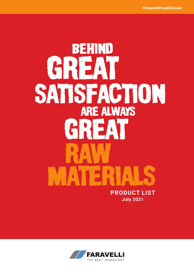# RAW MATERIALS SATISFACTION **PRODUCT LIST July 2021** BEHIND GRREAT GREAT ARE ALWAYS